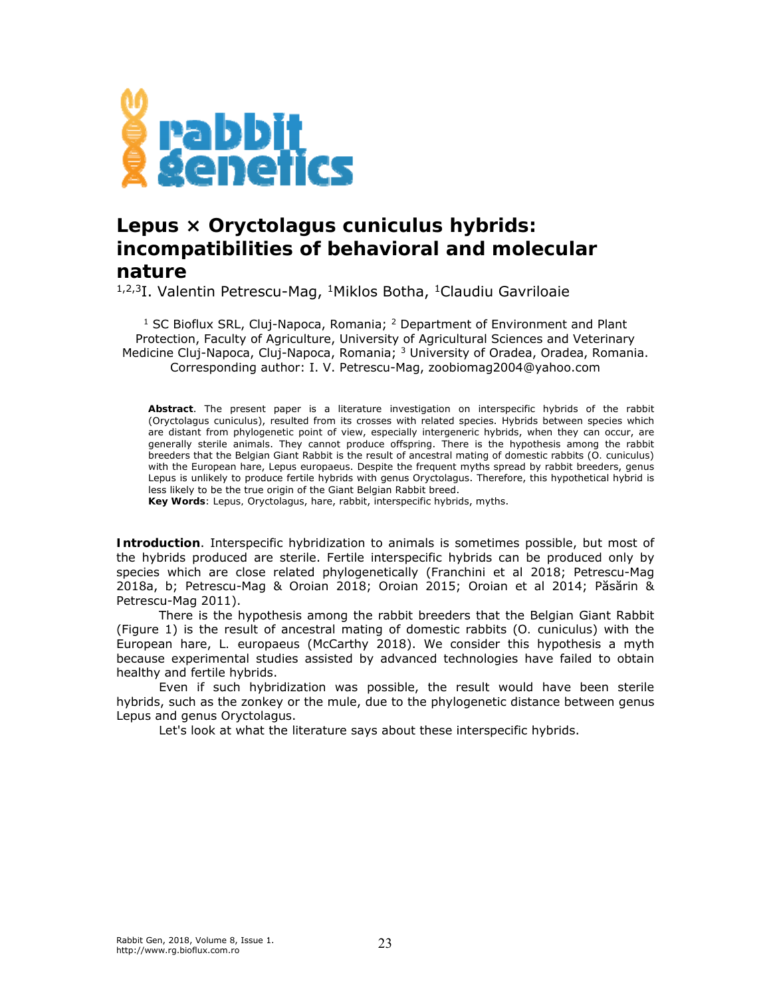

## *Lepus* **×** *Oryctolagus cuniculus* **hybrids: incompatibilities of behavioral and molecular nature**

<sup>1,2,3</sup>I. Valentin Petrescu-Mag, <sup>1</sup>Miklos Botha, <sup>1</sup>Claudiu Gavriloaie

<sup>1</sup> SC Bioflux SRL, Cluj-Napoca, Romania; <sup>2</sup> Department of Environment and Plant Protection, Faculty of Agriculture, University of Agricultural Sciences and Veterinary Medicine Cluj-Napoca, Cluj-Napoca, Romania; 3 University of Oradea, Oradea, Romania. Corresponding author: I. V. Petrescu-Mag, zoobiomag2004@yahoo.com

**Abstract**. The present paper is a literature investigation on interspecific hybrids of the rabbit (*Oryctolagus cuniculus*), resulted from its crosses with related species. Hybrids between species which are distant from phylogenetic point of view, especially intergeneric hybrids, when they can occur, are generally sterile animals. They cannot produce offspring. There is the hypothesis among the rabbit breeders that the Belgian Giant Rabbit is the result of ancestral mating of domestic rabbits (*O. cuniculus*) with the European hare, *Lepus europaeus*. Despite the frequent myths spread by rabbit breeders, genus *Lepus* is unlikely to produce fertile hybrids with genus *Oryctolagus*. Therefore, this hypothetical hybrid is less likely to be the true origin of the Giant Belgian Rabbit breed.

**Key Words**: *Lepus, Oryctolagus*, hare, rabbit, interspecific hybrids, myths.

**Introduction**. Interspecific hybridization to animals is sometimes possible, but most of the hybrids produced are sterile. Fertile interspecific hybrids can be produced only by species which are close related phylogenetically (Franchini et al 2018; Petrescu-Mag 2018a, b; Petrescu-Mag & Oroian 2018; Oroian 2015; Oroian et al 2014; Păsărin & Petrescu-Mag 2011).

There is the hypothesis among the rabbit breeders that the Belgian Giant Rabbit (Figure 1) is the result of ancestral mating of domestic rabbits (*O. cuniculus*) with the European hare, *L. europaeus* (McCarthy 2018). We consider this hypothesis a myth because experimental studies assisted by advanced technologies have failed to obtain healthy and fertile hybrids.

Even if such hybridization was possible, the result would have been sterile hybrids, such as the zonkey or the mule, due to the phylogenetic distance between genus *Lepus* and genus *Oryctolagus*.

Let's look at what the literature says about these interspecific hybrids.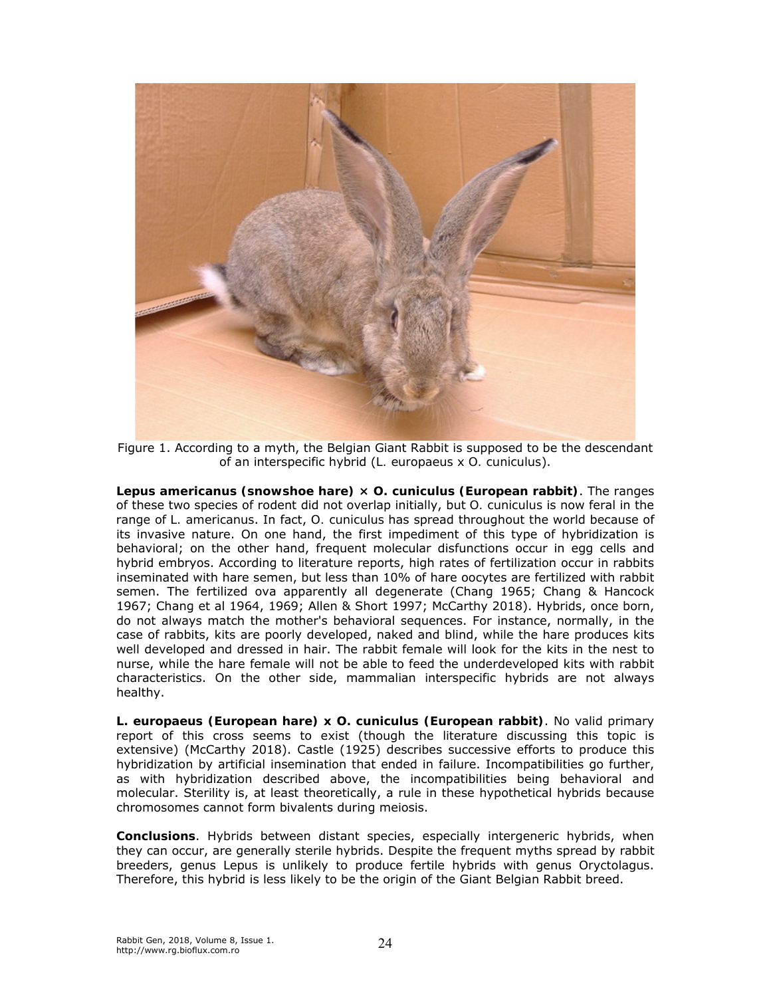

Figure 1. According to a myth, the Belgian Giant Rabbit is supposed to be the descendant of an interspecific hybrid (*L. europaeus* x *O. cuniculus*).

*Lepus americanus* **(snowshoe hare) ×** *O. cuniculus* **(European rabbit)**. The ranges of these two species of rodent did not overlap initially, but *O. cuniculus* is now feral in the range of *L. americanus*. In fact, *O. cuniculus* has spread throughout the world because of its invasive nature. On one hand, the first impediment of this type of hybridization is behavioral; on the other hand, frequent molecular disfunctions occur in egg cells and hybrid embryos. According to literature reports, high rates of fertilization occur in rabbits inseminated with hare semen, but less than 10% of hare oocytes are fertilized with rabbit semen. The fertilized ova apparently all degenerate (Chang 1965; Chang & Hancock 1967; Chang et al 1964, 1969; Allen & Short 1997; McCarthy 2018). Hybrids, once born, do not always match the mother's behavioral sequences. For instance, normally, in the case of rabbits, kits are poorly developed, naked and blind, while the hare produces kits well developed and dressed in hair. The rabbit female will look for the kits in the nest to nurse, while the hare female will not be able to feed the underdeveloped kits with rabbit characteristics. On the other side, mammalian interspecific hybrids are not always healthy.

*L. europaeus* **(European hare) x** *O. cuniculus* **(European rabbit)**. No valid primary report of this cross seems to exist (though the literature discussing this topic is extensive) (McCarthy 2018). Castle (1925) describes successive efforts to produce this hybridization by artificial insemination that ended in failure. Incompatibilities go further, as with hybridization described above, the incompatibilities being behavioral and molecular. Sterility is, at least theoretically, a rule in these hypothetical hybrids because chromosomes cannot form bivalents during meiosis.

**Conclusions**. Hybrids between distant species, especially intergeneric hybrids, when they can occur, are generally sterile hybrids. Despite the frequent myths spread by rabbit breeders, genus *Lepus* is unlikely to produce fertile hybrids with genus *Oryctolagus*. Therefore, this hybrid is less likely to be the origin of the Giant Belgian Rabbit breed.